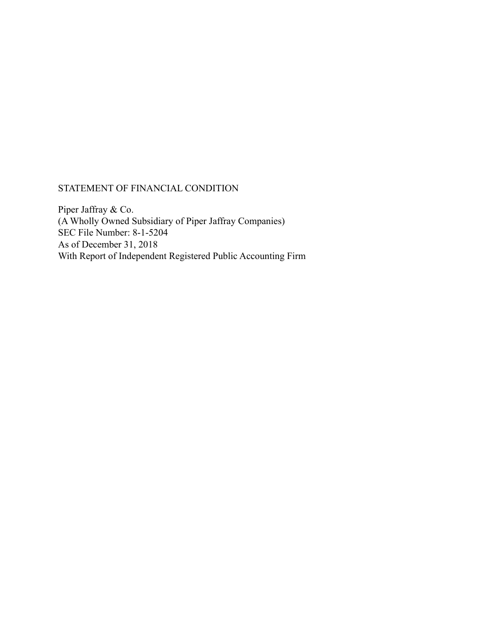# STATEMENT OF FINANCIAL CONDITION

Piper Jaffray & Co. (A Wholly Owned Subsidiary of Piper Jaffray Companies) SEC File Number: 8-1-5204 As of December 31, 2018 With Report of Independent Registered Public Accounting Firm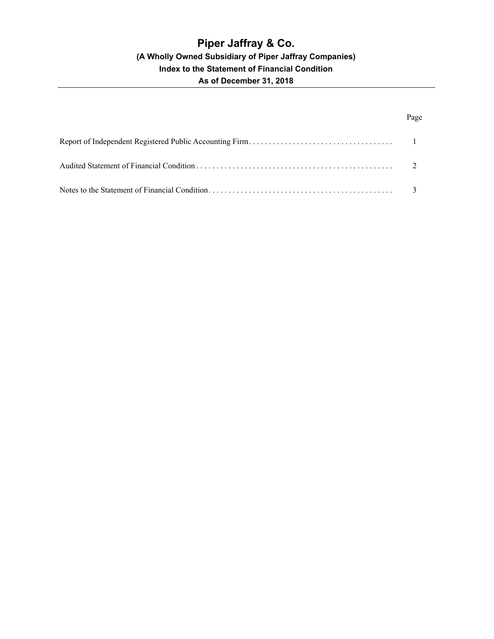# Page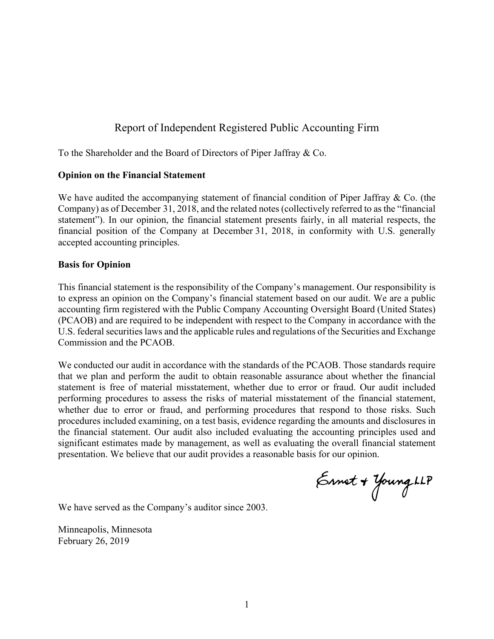# Report of Independent Registered Public Accounting Firm

To the Shareholder and the Board of Directors of Piper Jaffray & Co.

### **Opinion on the Financial Statement**

We have audited the accompanying statement of financial condition of Piper Jaffray  $\&$  Co. (the Company) as of December 31, 2018, and the related notes (collectively referred to as the "financial statement"). In our opinion, the financial statement presents fairly, in all material respects, the financial position of the Company at December 31, 2018, in conformity with U.S. generally accepted accounting principles.

### **Basis for Opinion**

This financial statement is the responsibility of the Company's management. Our responsibility is to express an opinion on the Company's financial statement based on our audit. We are a public accounting firm registered with the Public Company Accounting Oversight Board (United States) (PCAOB) and are required to be independent with respect to the Company in accordance with the U.S. federal securities laws and the applicable rules and regulations of the Securities and Exchange Commission and the PCAOB.

We conducted our audit in accordance with the standards of the PCAOB. Those standards require that we plan and perform the audit to obtain reasonable assurance about whether the financial statement is free of material misstatement, whether due to error or fraud. Our audit included performing procedures to assess the risks of material misstatement of the financial statement, whether due to error or fraud, and performing procedures that respond to those risks. Such procedures included examining, on a test basis, evidence regarding the amounts and disclosures in the financial statement. Our audit also included evaluating the accounting principles used and significant estimates made by management, as well as evaluating the overall financial statement presentation. We believe that our audit provides a reasonable basis for our opinion.

Ennet + Young LLP

We have served as the Company's auditor since 2003.

Minneapolis, Minnesota February 26, 2019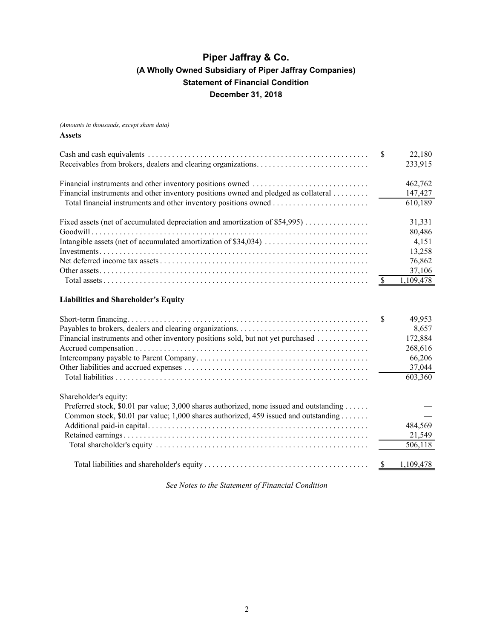<span id="page-3-0"></span>*(Amounts in thousands, except share data)*

#### **Assets**

|                                                                                         | <sup>\$</sup> | 22,180<br>233,915 |
|-----------------------------------------------------------------------------------------|---------------|-------------------|
|                                                                                         |               |                   |
|                                                                                         |               | 462,762           |
| Financial instruments and other inventory positions owned and pledged as collateral     |               | 147,427           |
|                                                                                         |               | 610, 189          |
| Fixed assets (net of accumulated depreciation and amortization of \$54,995)             |               | 31,331            |
|                                                                                         |               | 80,486            |
|                                                                                         |               | 4,151             |
|                                                                                         |               | 13,258            |
|                                                                                         |               | 76,862            |
|                                                                                         |               | 37,106            |
|                                                                                         | <sup>\$</sup> | 1,109,478         |
| <b>Liabilities and Shareholder's Equity</b>                                             |               |                   |
|                                                                                         | <sup>\$</sup> | 49,953            |
|                                                                                         |               | 8,657             |
| Financial instruments and other inventory positions sold, but not yet purchased         |               | 172,884           |
|                                                                                         |               | 268,616           |
|                                                                                         |               | 66,206            |
|                                                                                         |               | 37,044            |
|                                                                                         |               | 603,360           |
| Shareholder's equity:                                                                   |               |                   |
| Preferred stock, \$0.01 par value; 3,000 shares authorized, none issued and outstanding |               |                   |
| Common stock, \$0.01 par value; 1,000 shares authorized, 459 issued and outstanding     |               |                   |
|                                                                                         |               | 484,569           |
|                                                                                         |               | 21,549            |
|                                                                                         |               | 506,118           |

*See Notes to the Statement of Financial Condition*

Total liabilities and shareholder's equity . . . . . . . . . . . . . . . . . . . . . . . . . . . . . . . . . . . . . . . . . \$ 1,109,478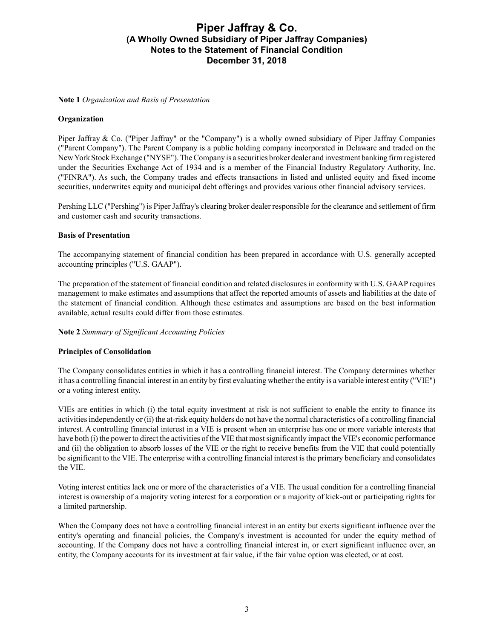#### <span id="page-4-0"></span>**Note 1** *Organization and Basis of Presentation*

### **Organization**

Piper Jaffray & Co. ("Piper Jaffray" or the "Company") is a wholly owned subsidiary of Piper Jaffray Companies ("Parent Company"). The Parent Company is a public holding company incorporated in Delaware and traded on the New York Stock Exchange ("NYSE"). The Company is a securities broker dealer and investment banking firm registered under the Securities Exchange Act of 1934 and is a member of the Financial Industry Regulatory Authority, Inc. ("FINRA"). As such, the Company trades and effects transactions in listed and unlisted equity and fixed income securities, underwrites equity and municipal debt offerings and provides various other financial advisory services.

Pershing LLC ("Pershing") is Piper Jaffray's clearing broker dealer responsible for the clearance and settlement of firm and customer cash and security transactions.

#### **Basis of Presentation**

The accompanying statement of financial condition has been prepared in accordance with U.S. generally accepted accounting principles ("U.S. GAAP").

The preparation of the statement of financial condition and related disclosures in conformity with U.S. GAAPrequires management to make estimates and assumptions that affect the reported amounts of assets and liabilities at the date of the statement of financial condition. Although these estimates and assumptions are based on the best information available, actual results could differ from those estimates.

### **Note 2** *Summary of Significant Accounting Policies*

#### **Principles of Consolidation**

The Company consolidates entities in which it has a controlling financial interest. The Company determines whether it has a controlling financial interest in an entity by first evaluating whether the entity is a variable interest entity ("VIE") or a voting interest entity.

VIEs are entities in which (i) the total equity investment at risk is not sufficient to enable the entity to finance its activities independently or (ii) the at-risk equity holders do not have the normal characteristics of a controlling financial interest. A controlling financial interest in a VIE is present when an enterprise has one or more variable interests that have both (i) the power to direct the activities of the VIE that most significantly impact the VIE's economic performance and (ii) the obligation to absorb losses of the VIE or the right to receive benefits from the VIE that could potentially be significant to the VIE. The enterprise with a controlling financial interest is the primary beneficiary and consolidates the VIE.

Voting interest entities lack one or more of the characteristics of a VIE. The usual condition for a controlling financial interest is ownership of a majority voting interest for a corporation or a majority of kick-out or participating rights for a limited partnership.

When the Company does not have a controlling financial interest in an entity but exerts significant influence over the entity's operating and financial policies, the Company's investment is accounted for under the equity method of accounting. If the Company does not have a controlling financial interest in, or exert significant influence over, an entity, the Company accounts for its investment at fair value, if the fair value option was elected, or at cost.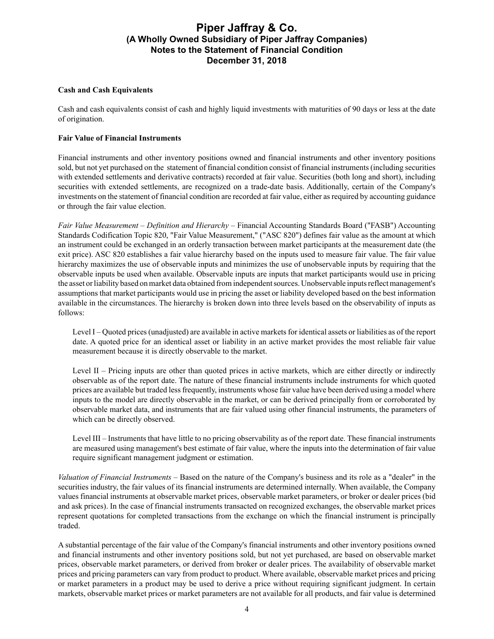### **Cash and Cash Equivalents**

Cash and cash equivalents consist of cash and highly liquid investments with maturities of 90 days or less at the date of origination.

#### **Fair Value of Financial Instruments**

Financial instruments and other inventory positions owned and financial instruments and other inventory positions sold, but not yet purchased on the statement of financial condition consist of financial instruments (including securities with extended settlements and derivative contracts) recorded at fair value. Securities (both long and short), including securities with extended settlements, are recognized on a trade-date basis. Additionally, certain of the Company's investments on the statement of financial condition are recorded at fair value, either as required by accounting guidance or through the fair value election.

*Fair Value Measurement* – *Definition and Hierarchy* – Financial Accounting Standards Board ("FASB") Accounting Standards Codification Topic 820, "Fair Value Measurement," ("ASC 820") defines fair value as the amount at which an instrument could be exchanged in an orderly transaction between market participants at the measurement date (the exit price). ASC 820 establishes a fair value hierarchy based on the inputs used to measure fair value. The fair value hierarchy maximizes the use of observable inputs and minimizes the use of unobservable inputs by requiring that the observable inputs be used when available. Observable inputs are inputs that market participants would use in pricing the asset or liability based on market data obtained from independent sources. Unobservable inputs reflect management's assumptions that market participants would use in pricing the asset or liability developed based on the best information available in the circumstances. The hierarchy is broken down into three levels based on the observability of inputs as follows:

Level I – Quoted prices (unadjusted) are available in active markets for identical assets or liabilities as of the report date. A quoted price for an identical asset or liability in an active market provides the most reliable fair value measurement because it is directly observable to the market.

Level II – Pricing inputs are other than quoted prices in active markets, which are either directly or indirectly observable as of the report date. The nature of these financial instruments include instruments for which quoted prices are available but traded less frequently, instruments whose fair value have been derived using a model where inputs to the model are directly observable in the market, or can be derived principally from or corroborated by observable market data, and instruments that are fair valued using other financial instruments, the parameters of which can be directly observed.

Level III – Instruments that have little to no pricing observability as of the report date. These financial instruments are measured using management's best estimate of fair value, where the inputs into the determination of fair value require significant management judgment or estimation.

*Valuation of Financial Instruments* – Based on the nature of the Company's business and its role as a "dealer" in the securities industry, the fair values of its financial instruments are determined internally. When available, the Company values financial instruments at observable market prices, observable market parameters, or broker or dealer prices (bid and ask prices). In the case of financial instruments transacted on recognized exchanges, the observable market prices represent quotations for completed transactions from the exchange on which the financial instrument is principally traded.

A substantial percentage of the fair value of the Company's financial instruments and other inventory positions owned and financial instruments and other inventory positions sold, but not yet purchased, are based on observable market prices, observable market parameters, or derived from broker or dealer prices. The availability of observable market prices and pricing parameters can vary from product to product. Where available, observable market prices and pricing or market parameters in a product may be used to derive a price without requiring significant judgment. In certain markets, observable market prices or market parameters are not available for all products, and fair value is determined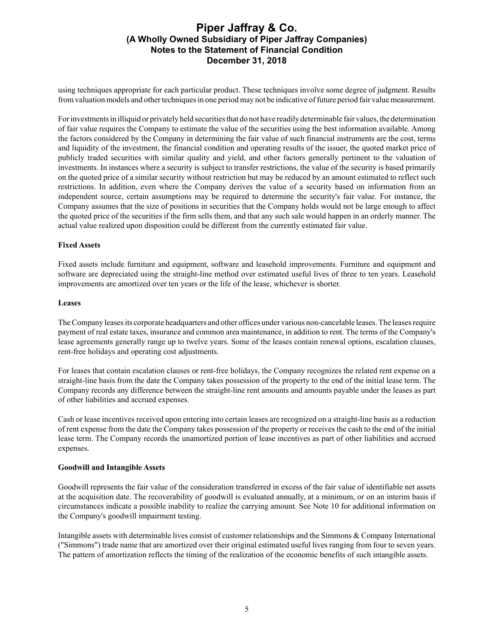using techniques appropriate for each particular product. These techniques involve some degree of judgment. Results from valuation models and other techniques in one period may not be indicative of future period fair value measurement.

For investments in illiquid or privately held securities that do not have readily determinable fair values, the determination of fair value requires the Company to estimate the value of the securities using the best information available. Among the factors considered by the Company in determining the fair value of such financial instruments are the cost, terms and liquidity of the investment, the financial condition and operating results of the issuer, the quoted market price of publicly traded securities with similar quality and yield, and other factors generally pertinent to the valuation of investments. In instances where a security is subject to transfer restrictions, the value of the security is based primarily on the quoted price of a similar security without restriction but may be reduced by an amount estimated to reflect such restrictions. In addition, even where the Company derives the value of a security based on information from an independent source, certain assumptions may be required to determine the security's fair value. For instance, the Company assumes that the size of positions in securities that the Company holds would not be large enough to affect the quoted price of the securities if the firm sells them, and that any such sale would happen in an orderly manner. The actual value realized upon disposition could be different from the currently estimated fair value.

#### **Fixed Assets**

Fixed assets include furniture and equipment, software and leasehold improvements. Furniture and equipment and software are depreciated using the straight-line method over estimated useful lives of three to ten years. Leasehold improvements are amortized over ten years or the life of the lease, whichever is shorter.

#### **Leases**

The Company leases its corporate headquarters and other offices under various non-cancelable leases. The leases require payment of real estate taxes, insurance and common area maintenance, in addition to rent. The terms of the Company's lease agreements generally range up to twelve years. Some of the leases contain renewal options, escalation clauses, rent-free holidays and operating cost adjustments.

For leases that contain escalation clauses or rent-free holidays, the Company recognizes the related rent expense on a straight-line basis from the date the Company takes possession of the property to the end of the initial lease term. The Company records any difference between the straight-line rent amounts and amounts payable under the leases as part of other liabilities and accrued expenses.

Cash or lease incentives received upon entering into certain leases are recognized on a straight-line basis as a reduction of rent expense from the date the Company takes possession of the property or receives the cash to the end of the initial lease term. The Company records the unamortized portion of lease incentives as part of other liabilities and accrued expenses.

#### **Goodwill and Intangible Assets**

Goodwill represents the fair value of the consideration transferred in excess of the fair value of identifiable net assets at the acquisition date. The recoverability of goodwill is evaluated annually, at a minimum, or on an interim basis if circumstances indicate a possible inability to realize the carrying amount. See Note 10 for additional information on the Company's goodwill impairment testing.

Intangible assets with determinable lives consist of customer relationships and the Simmons & Company International ("Simmons") trade name that are amortized over their original estimated useful lives ranging from four to seven years. The pattern of amortization reflects the timing of the realization of the economic benefits of such intangible assets.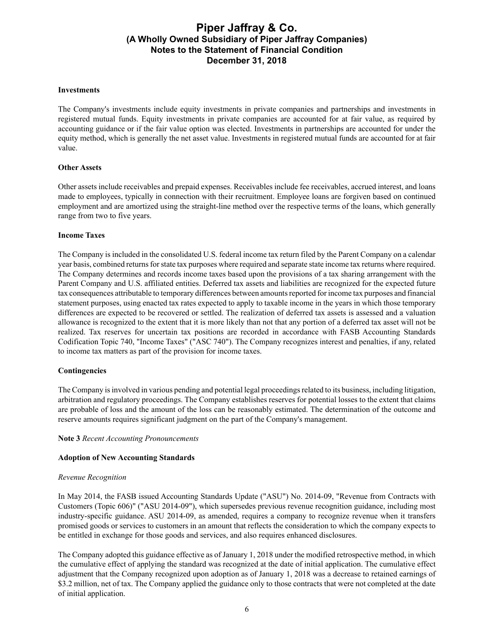#### **Investments**

The Company's investments include equity investments in private companies and partnerships and investments in registered mutual funds. Equity investments in private companies are accounted for at fair value, as required by accounting guidance or if the fair value option was elected. Investments in partnerships are accounted for under the equity method, which is generally the net asset value. Investments in registered mutual funds are accounted for at fair value.

#### **Other Assets**

Other assets include receivables and prepaid expenses. Receivables include fee receivables, accrued interest, and loans made to employees, typically in connection with their recruitment. Employee loans are forgiven based on continued employment and are amortized using the straight-line method over the respective terms of the loans, which generally range from two to five years.

#### **Income Taxes**

The Company is included in the consolidated U.S. federal income tax return filed by the Parent Company on a calendar year basis, combined returns for state tax purposes where required and separate state income tax returns where required. The Company determines and records income taxes based upon the provisions of a tax sharing arrangement with the Parent Company and U.S. affiliated entities. Deferred tax assets and liabilities are recognized for the expected future tax consequences attributable to temporary differences between amounts reported for income tax purposes and financial statement purposes, using enacted tax rates expected to apply to taxable income in the years in which those temporary differences are expected to be recovered or settled. The realization of deferred tax assets is assessed and a valuation allowance is recognized to the extent that it is more likely than not that any portion of a deferred tax asset will not be realized. Tax reserves for uncertain tax positions are recorded in accordance with FASB Accounting Standards Codification Topic 740, "Income Taxes" ("ASC 740"). The Company recognizes interest and penalties, if any, related to income tax matters as part of the provision for income taxes.

#### **Contingencies**

The Company is involved in various pending and potential legal proceedings related to its business, including litigation, arbitration and regulatory proceedings. The Company establishes reserves for potential losses to the extent that claims are probable of loss and the amount of the loss can be reasonably estimated. The determination of the outcome and reserve amounts requires significant judgment on the part of the Company's management.

#### **Note 3** *Recent Accounting Pronouncements*

#### **Adoption of New Accounting Standards**

#### *Revenue Recognition*

In May 2014, the FASB issued Accounting Standards Update ("ASU") No. 2014-09, "Revenue from Contracts with Customers (Topic 606)" ("ASU 2014-09"), which supersedes previous revenue recognition guidance, including most industry-specific guidance. ASU 2014-09, as amended, requires a company to recognize revenue when it transfers promised goods or services to customers in an amount that reflects the consideration to which the company expects to be entitled in exchange for those goods and services, and also requires enhanced disclosures.

The Company adopted this guidance effective as of January 1, 2018 under the modified retrospective method, in which the cumulative effect of applying the standard was recognized at the date of initial application. The cumulative effect adjustment that the Company recognized upon adoption as of January 1, 2018 was a decrease to retained earnings of \$3.2 million, net of tax. The Company applied the guidance only to those contracts that were not completed at the date of initial application.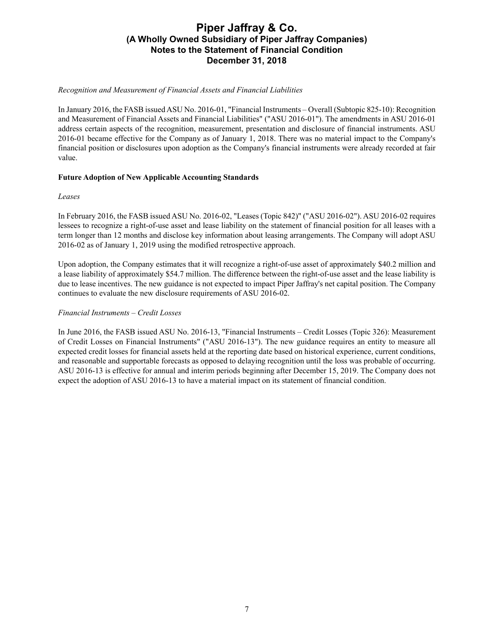#### *Recognition and Measurement of Financial Assets and Financial Liabilities*

In January 2016, the FASB issued ASU No. 2016-01, "Financial Instruments – Overall (Subtopic 825-10): Recognition and Measurement of Financial Assets and Financial Liabilities" ("ASU 2016-01"). The amendments in ASU 2016-01 address certain aspects of the recognition, measurement, presentation and disclosure of financial instruments. ASU 2016-01 became effective for the Company as of January 1, 2018. There was no material impact to the Company's financial position or disclosures upon adoption as the Company's financial instruments were already recorded at fair value.

#### **Future Adoption of New Applicable Accounting Standards**

#### *Leases*

In February 2016, the FASB issued ASU No. 2016-02, "Leases (Topic 842)" ("ASU 2016-02"). ASU 2016-02 requires lessees to recognize a right-of-use asset and lease liability on the statement of financial position for all leases with a term longer than 12 months and disclose key information about leasing arrangements. The Company will adopt ASU 2016-02 as of January 1, 2019 using the modified retrospective approach.

Upon adoption, the Company estimates that it will recognize a right-of-use asset of approximately \$40.2 million and a lease liability of approximately \$54.7 million. The difference between the right-of-use asset and the lease liability is due to lease incentives. The new guidance is not expected to impact Piper Jaffray's net capital position. The Company continues to evaluate the new disclosure requirements of ASU 2016-02.

#### *Financial Instruments – Credit Losses*

In June 2016, the FASB issued ASU No. 2016-13, "Financial Instruments – Credit Losses (Topic 326): Measurement of Credit Losses on Financial Instruments" ("ASU 2016-13"). The new guidance requires an entity to measure all expected credit losses for financial assets held at the reporting date based on historical experience, current conditions, and reasonable and supportable forecasts as opposed to delaying recognition until the loss was probable of occurring. ASU 2016-13 is effective for annual and interim periods beginning after December 15, 2019. The Company does not expect the adoption of ASU 2016-13 to have a material impact on its statement of financial condition.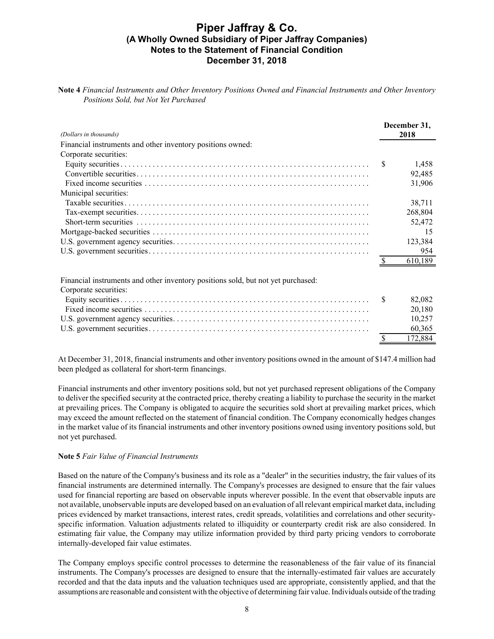**Note 4** *Financial Instruments and Other Inventory Positions Owned and Financial Instruments and Other Inventory Positions Sold, but Not Yet Purchased*

| (Dollars in thousands)                                     | December 31.<br>2018 |         |
|------------------------------------------------------------|----------------------|---------|
| Financial instruments and other inventory positions owned: |                      |         |
| Corporate securities:                                      |                      |         |
|                                                            |                      | 1,458   |
|                                                            |                      | 92,485  |
|                                                            |                      | 31,906  |
| Municipal securities:                                      |                      |         |
|                                                            |                      | 38,711  |
|                                                            |                      | 268,804 |
|                                                            |                      | 52,472  |
|                                                            |                      |         |
|                                                            |                      | 123,384 |
|                                                            |                      | 954     |
|                                                            |                      | 610.189 |

Financial instruments and other inventory positions sold, but not yet purchased:

| Corporate securities: |         |
|-----------------------|---------|
|                       | 82.082  |
|                       | 20.180  |
|                       | 10.257  |
|                       | 60,365  |
|                       | 172 884 |

At December 31, 2018, financial instruments and other inventory positions owned in the amount of \$147.4 million had been pledged as collateral for short-term financings.

Financial instruments and other inventory positions sold, but not yet purchased represent obligations of the Company to deliver the specified security at the contracted price, thereby creating a liability to purchase the security in the market at prevailing prices. The Company is obligated to acquire the securities sold short at prevailing market prices, which may exceed the amount reflected on the statement of financial condition. The Company economically hedges changes in the market value of its financial instruments and other inventory positions owned using inventory positions sold, but not yet purchased.

### **Note 5** *Fair Value of Financial Instruments*

Based on the nature of the Company's business and its role as a "dealer" in the securities industry, the fair values of its financial instruments are determined internally. The Company's processes are designed to ensure that the fair values used for financial reporting are based on observable inputs wherever possible. In the event that observable inputs are not available, unobservable inputs are developed based on an evaluation of all relevant empirical market data, including prices evidenced by market transactions, interest rates, credit spreads, volatilities and correlations and other securityspecific information. Valuation adjustments related to illiquidity or counterparty credit risk are also considered. In estimating fair value, the Company may utilize information provided by third party pricing vendors to corroborate internally-developed fair value estimates.

The Company employs specific control processes to determine the reasonableness of the fair value of its financial instruments. The Company's processes are designed to ensure that the internally-estimated fair values are accurately recorded and that the data inputs and the valuation techniques used are appropriate, consistently applied, and that the assumptions are reasonable and consistent with the objective of determining fair value. Individuals outside of the trading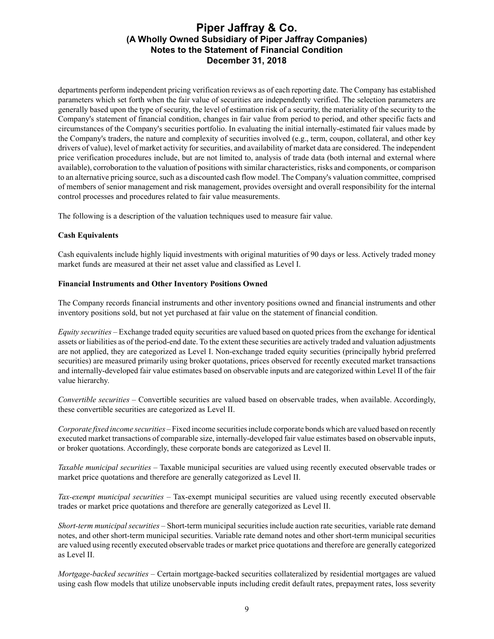departments perform independent pricing verification reviews as of each reporting date. The Company has established parameters which set forth when the fair value of securities are independently verified. The selection parameters are generally based upon the type of security, the level of estimation risk of a security, the materiality of the security to the Company's statement of financial condition, changes in fair value from period to period, and other specific facts and circumstances of the Company's securities portfolio. In evaluating the initial internally-estimated fair values made by the Company's traders, the nature and complexity of securities involved (e.g., term, coupon, collateral, and other key drivers of value), level of market activity for securities, and availability of market data are considered. The independent price verification procedures include, but are not limited to, analysis of trade data (both internal and external where available), corroboration to the valuation of positions with similar characteristics, risks and components, or comparison to an alternative pricing source, such as a discounted cash flow model. The Company's valuation committee, comprised of members of senior management and risk management, provides oversight and overall responsibility for the internal control processes and procedures related to fair value measurements.

The following is a description of the valuation techniques used to measure fair value.

### **Cash Equivalents**

Cash equivalents include highly liquid investments with original maturities of 90 days or less. Actively traded money market funds are measured at their net asset value and classified as Level I.

#### **Financial Instruments and Other Inventory Positions Owned**

The Company records financial instruments and other inventory positions owned and financial instruments and other inventory positions sold, but not yet purchased at fair value on the statement of financial condition.

*Equity securities –* Exchange traded equity securities are valued based on quoted prices from the exchange for identical assets or liabilities as of the period-end date. To the extent these securities are actively traded and valuation adjustments are not applied, they are categorized as Level I. Non-exchange traded equity securities (principally hybrid preferred securities) are measured primarily using broker quotations, prices observed for recently executed market transactions and internally-developed fair value estimates based on observable inputs and are categorized within Level II of the fair value hierarchy.

*Convertible securities –* Convertible securities are valued based on observable trades, when available. Accordingly, these convertible securities are categorized as Level II.

*Corporate fixed income securities –*Fixed income securities include corporate bonds which are valued based on recently executed market transactions of comparable size, internally-developed fair value estimates based on observable inputs, or broker quotations. Accordingly, these corporate bonds are categorized as Level II.

*Taxable municipal securities –* Taxable municipal securities are valued using recently executed observable trades or market price quotations and therefore are generally categorized as Level II.

*Tax-exempt municipal securities –* Tax-exempt municipal securities are valued using recently executed observable trades or market price quotations and therefore are generally categorized as Level II.

*Short-term municipal securities –* Short-term municipal securities include auction rate securities, variable rate demand notes, and other short-term municipal securities. Variable rate demand notes and other short-term municipal securities are valued using recently executed observable trades or market price quotations and therefore are generally categorized as Level II.

*Mortgage-backed securities –* Certain mortgage-backed securities collateralized by residential mortgages are valued using cash flow models that utilize unobservable inputs including credit default rates, prepayment rates, loss severity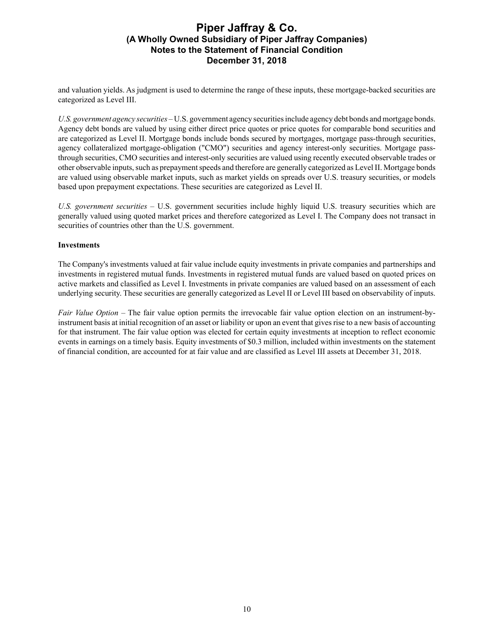and valuation yields. As judgment is used to determine the range of these inputs, these mortgage-backed securities are categorized as Level III.

*U.S. government agency securities –* U.S. government agency securities include agency debt bonds and mortgage bonds. Agency debt bonds are valued by using either direct price quotes or price quotes for comparable bond securities and are categorized as Level II. Mortgage bonds include bonds secured by mortgages, mortgage pass-through securities, agency collateralized mortgage-obligation ("CMO") securities and agency interest-only securities. Mortgage passthrough securities, CMO securities and interest-only securities are valued using recently executed observable trades or other observable inputs, such as prepayment speeds and therefore are generally categorized as Level II. Mortgage bonds are valued using observable market inputs, such as market yields on spreads over U.S. treasury securities, or models based upon prepayment expectations. These securities are categorized as Level II.

*U.S. government securities –* U.S. government securities include highly liquid U.S. treasury securities which are generally valued using quoted market prices and therefore categorized as Level I. The Company does not transact in securities of countries other than the U.S. government.

#### **Investments**

The Company's investments valued at fair value include equity investments in private companies and partnerships and investments in registered mutual funds. Investments in registered mutual funds are valued based on quoted prices on active markets and classified as Level I. Investments in private companies are valued based on an assessment of each underlying security. These securities are generally categorized as Level II or Level III based on observability of inputs.

*Fair Value Option –* The fair value option permits the irrevocable fair value option election on an instrument-byinstrument basis at initial recognition of an asset or liability or upon an event that gives rise to a new basis of accounting for that instrument. The fair value option was elected for certain equity investments at inception to reflect economic events in earnings on a timely basis. Equity investments of \$0.3 million, included within investments on the statement of financial condition, are accounted for at fair value and are classified as Level III assets at December 31, 2018.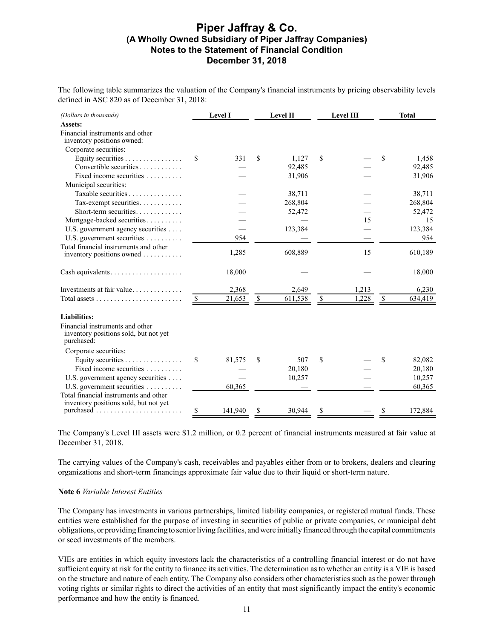The following table summarizes the valuation of the Company's financial instruments by pricing observability levels defined in ASC 820 as of December 31, 2018:

| (Dollars in thousands)                                                                 |               | <b>Level I</b> |              | Level II | Level III   | <b>Total</b>  |
|----------------------------------------------------------------------------------------|---------------|----------------|--------------|----------|-------------|---------------|
| Assets:                                                                                |               |                |              |          |             |               |
| Financial instruments and other<br>inventory positions owned:                          |               |                |              |          |             |               |
| Corporate securities:                                                                  |               |                |              |          |             |               |
| Equity securities $\dots \dots \dots \dots \dots$                                      | S             | 331            | \$           | 1,127    | \$          | \$<br>1,458   |
| Convertible securities                                                                 |               |                |              | 92,485   |             | 92,485        |
| Fixed income securities                                                                |               |                |              | 31,906   |             | 31,906        |
| Municipal securities:                                                                  |               |                |              |          |             |               |
| Taxable securities                                                                     |               |                |              | 38,711   |             | 38,711        |
| Tax-exempt securities                                                                  |               |                |              | 268,804  |             | 268,804       |
| Short-term securities                                                                  |               |                |              | 52,472   |             | 52,472        |
| Mortgage-backed securities                                                             |               |                |              |          | 15          | 15            |
| U.S. government agency securities                                                      |               |                |              | 123,384  |             | 123,384       |
| U.S. government securities                                                             |               | 954            |              |          |             | 954           |
| Total financial instruments and other                                                  |               |                |              |          |             |               |
| inventory positions owned                                                              |               | 1,285          |              | 608,889  | 15          | 610,189       |
| Cash equivalents                                                                       |               | 18,000         |              |          |             | 18,000        |
|                                                                                        |               | 2,368          |              | 2,649    | 1,213       | 6,230         |
|                                                                                        | <sup>\$</sup> | 21,653         | $\mathbb{S}$ | 611,538  | \$<br>1,228 | \$<br>634,419 |
| <b>Liabilities:</b>                                                                    |               |                |              |          |             |               |
| Financial instruments and other<br>inventory positions sold, but not yet<br>purchased: |               |                |              |          |             |               |
| Corporate securities:                                                                  |               |                |              |          |             |               |
| Equity securities                                                                      | \$            | 81,575         | \$           | 507      | \$          | \$<br>82,082  |
| Fixed income securities                                                                |               |                |              | 20,180   |             | 20,180        |
| U.S. government agency securities                                                      |               |                |              | 10,257   |             | 10,257        |
| U.S. government securities                                                             |               | 60,365         |              |          |             | 60,365        |
| Total financial instruments and other<br>inventory positions sold, but not yet         |               |                |              |          |             |               |
|                                                                                        | \$            | 141,940        | \$           | 30,944   | \$          | \$<br>172,884 |

The Company's Level III assets were \$1.2 million, or 0.2 percent of financial instruments measured at fair value at December 31, 2018.

The carrying values of the Company's cash, receivables and payables either from or to brokers, dealers and clearing organizations and short-term financings approximate fair value due to their liquid or short-term nature.

#### **Note 6** *Variable Interest Entities*

The Company has investments in various partnerships, limited liability companies, or registered mutual funds. These entities were established for the purpose of investing in securities of public or private companies, or municipal debt obligations, or providing financing to senior living facilities, and were initially financed through the capital commitments or seed investments of the members.

VIEs are entities in which equity investors lack the characteristics of a controlling financial interest or do not have sufficient equity at risk for the entity to finance its activities. The determination as to whether an entity is a VIE is based on the structure and nature of each entity. The Company also considers other characteristics such as the power through voting rights or similar rights to direct the activities of an entity that most significantly impact the entity's economic performance and how the entity is financed.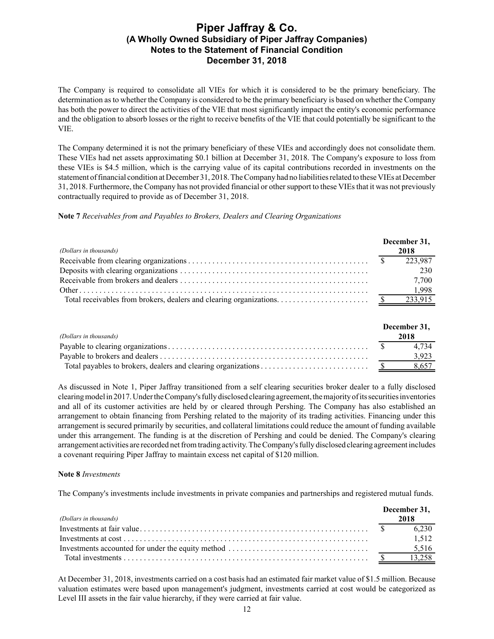The Company is required to consolidate all VIEs for which it is considered to be the primary beneficiary. The determination as to whether the Company is considered to be the primary beneficiary is based on whether the Company has both the power to direct the activities of the VIE that most significantly impact the entity's economic performance and the obligation to absorb losses or the right to receive benefits of the VIE that could potentially be significant to the VIE.

The Company determined it is not the primary beneficiary of these VIEs and accordingly does not consolidate them. These VIEs had net assets approximating \$0.1 billion at December 31, 2018. The Company's exposure to loss from these VIEs is \$4.5 million, which is the carrying value of its capital contributions recorded in investments on the statement of financial condition at December 31, 2018. The Company had no liabilities related to these VIEs at December 31, 2018. Furthermore, the Company has not provided financial or other support to these VIEs that it was not previously contractually required to provide as of December 31, 2018.

**Note 7** *Receivables from and Payables to Brokers, Dealers and Clearing Organizations*

| (Dollars in thousands) | December 31,<br>2018 |
|------------------------|----------------------|
|                        | 223.987              |
|                        | 230                  |
|                        | 7.700                |
|                        | 1,998                |
|                        | 233,915              |

| (Dollars in thousands) | December 31,<br>2018 |
|------------------------|----------------------|
|                        | 4 7 3 4              |
|                        | 3.923                |
|                        | 8,657                |

As discussed in Note 1, Piper Jaffray transitioned from a self clearing securities broker dealer to a fully disclosed clearing model in 2017. Under the Company's fully disclosed clearing agreement, the majority of its securities inventories and all of its customer activities are held by or cleared through Pershing. The Company has also established an arrangement to obtain financing from Pershing related to the majority of its trading activities. Financing under this arrangement is secured primarily by securities, and collateral limitations could reduce the amount of funding available under this arrangement. The funding is at the discretion of Pershing and could be denied. The Company's clearing arrangement activities are recorded net from trading activity. The Company's fully disclosed clearing agreement includes a covenant requiring Piper Jaffray to maintain excess net capital of \$120 million.

### **Note 8** *Investments*

The Company's investments include investments in private companies and partnerships and registered mutual funds.

|                        | December 31, |
|------------------------|--------------|
| (Dollars in thousands) | 2018         |
|                        | 6 2 3 0      |
| Investments at cost    | 1.512        |
|                        | 5,516        |
|                        |              |

At December 31, 2018, investments carried on a cost basis had an estimated fair market value of \$1.5 million. Because valuation estimates were based upon management's judgment, investments carried at cost would be categorized as Level III assets in the fair value hierarchy, if they were carried at fair value.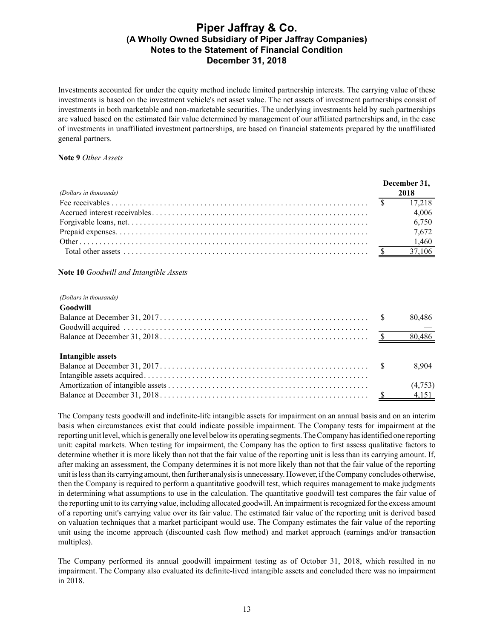Investments accounted for under the equity method include limited partnership interests. The carrying value of these investments is based on the investment vehicle's net asset value. The net assets of investment partnerships consist of investments in both marketable and non-marketable securities. The underlying investments held by such partnerships are valued based on the estimated fair value determined by management of our affiliated partnerships and, in the case of investments in unaffiliated investment partnerships, are based on financial statements prepared by the unaffiliated general partners.

#### **Note 9** *Other Assets*

|                        | December 31, |       |
|------------------------|--------------|-------|
| (Dollars in thousands) |              | 2018  |
|                        |              |       |
|                        |              | 4,006 |
|                        |              | 6,750 |
|                        |              | 7,672 |
|                        |              | 1,460 |
|                        |              |       |

#### **Note 10** *Goodwill and Intangible Assets*

#### *(Dollars in thousands)*

 $G \cdot \mathbf{A}$  **T** 

| Goodwill          |        |
|-------------------|--------|
|                   | 80,486 |
|                   |        |
|                   |        |
| Intangible assets |        |
|                   | 8,904  |
|                   |        |
|                   |        |
|                   |        |

The Company tests goodwill and indefinite-life intangible assets for impairment on an annual basis and on an interim basis when circumstances exist that could indicate possible impairment. The Company tests for impairment at the reporting unit level, which is generally one level below its operating segments. The Company has identified one reporting unit: capital markets. When testing for impairment, the Company has the option to first assess qualitative factors to determine whether it is more likely than not that the fair value of the reporting unit is less than its carrying amount. If, after making an assessment, the Company determines it is not more likely than not that the fair value of the reporting unit is less than its carrying amount, then further analysis is unnecessary. However, if the Company concludes otherwise, then the Company is required to perform a quantitative goodwill test, which requires management to make judgments in determining what assumptions to use in the calculation. The quantitative goodwill test compares the fair value of the reporting unit to its carrying value, including allocated goodwill. An impairment is recognized for the excess amount of a reporting unit's carrying value over its fair value. The estimated fair value of the reporting unit is derived based on valuation techniques that a market participant would use. The Company estimates the fair value of the reporting unit using the income approach (discounted cash flow method) and market approach (earnings and/or transaction multiples).

The Company performed its annual goodwill impairment testing as of October 31, 2018, which resulted in no impairment. The Company also evaluated its definite-lived intangible assets and concluded there was no impairment in 2018.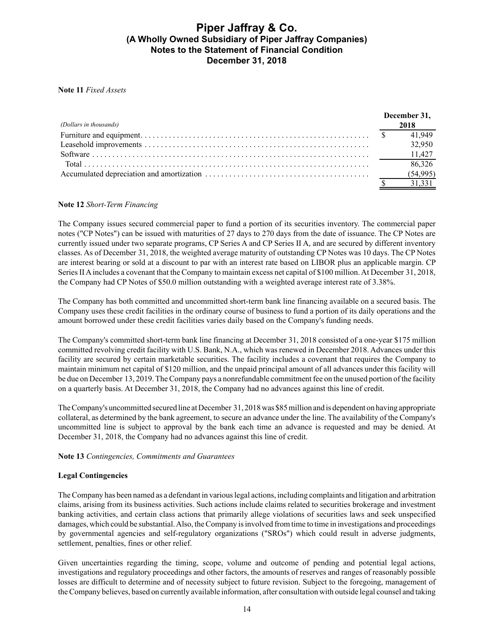#### **Note 11** *Fixed Assets*

|                        | December 31, |          |
|------------------------|--------------|----------|
| (Dollars in thousands) |              | 2018     |
|                        |              | 41.949   |
|                        |              | 32,950   |
|                        |              |          |
|                        |              | 86,326   |
|                        |              | (54,995) |
|                        |              |          |

#### **Note 12** *Short-Term Financing*

The Company issues secured commercial paper to fund a portion of its securities inventory. The commercial paper notes ("CP Notes") can be issued with maturities of 27 days to 270 days from the date of issuance. The CP Notes are currently issued under two separate programs, CP Series A and CP Series II A, and are secured by different inventory classes. As of December 31, 2018, the weighted average maturity of outstanding CP Notes was 10 days. The CP Notes are interest bearing or sold at a discount to par with an interest rate based on LIBOR plus an applicable margin. CP Series II Aincludes a covenant that the Company to maintain excess net capital of \$100 million. At December 31, 2018, the Company had CP Notes of \$50.0 million outstanding with a weighted average interest rate of 3.38%.

The Company has both committed and uncommitted short-term bank line financing available on a secured basis. The Company uses these credit facilities in the ordinary course of business to fund a portion of its daily operations and the amount borrowed under these credit facilities varies daily based on the Company's funding needs.

The Company's committed short-term bank line financing at December 31, 2018 consisted of a one-year \$175 million committed revolving credit facility with U.S. Bank, N.A., which was renewed in December 2018. Advances under this facility are secured by certain marketable securities. The facility includes a covenant that requires the Company to maintain minimum net capital of \$120 million, and the unpaid principal amount of all advances under this facility will be due on December 13, 2019. The Company pays a nonrefundable commitment fee on the unused portion of the facility on a quarterly basis. At December 31, 2018, the Company had no advances against this line of credit.

The Company's uncommitted secured line at December 31, 2018was \$85 million and is dependent on having appropriate collateral, as determined by the bank agreement, to secure an advance under the line. The availability of the Company's uncommitted line is subject to approval by the bank each time an advance is requested and may be denied. At December 31, 2018, the Company had no advances against this line of credit.

#### **Note 13** *Contingencies, Commitments and Guarantees*

### **Legal Contingencies**

The Company has been named as a defendant in various legal actions, including complaints and litigation and arbitration claims, arising from its business activities. Such actions include claims related to securities brokerage and investment banking activities, and certain class actions that primarily allege violations of securities laws and seek unspecified damages, which could be substantial. Also, the Company is involved from time to time in investigations and proceedings by governmental agencies and self-regulatory organizations ("SROs") which could result in adverse judgments, settlement, penalties, fines or other relief.

Given uncertainties regarding the timing, scope, volume and outcome of pending and potential legal actions, investigations and regulatory proceedings and other factors, the amounts of reserves and ranges of reasonably possible losses are difficult to determine and of necessity subject to future revision. Subject to the foregoing, management of the Company believes, based on currently available information, after consultation with outside legal counsel and taking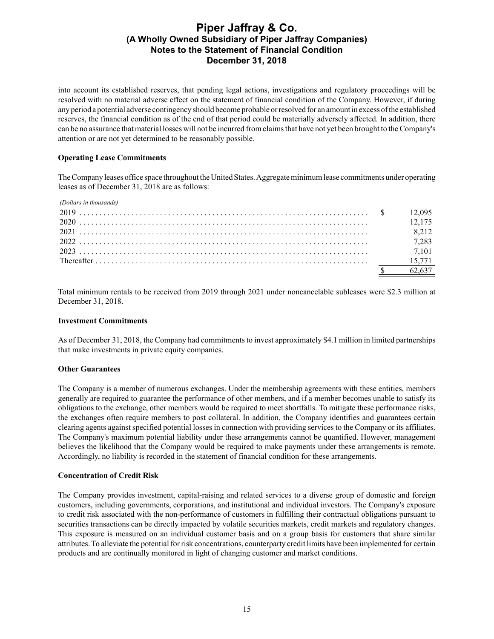into account its established reserves, that pending legal actions, investigations and regulatory proceedings will be resolved with no material adverse effect on the statement of financial condition of the Company. However, if during any period a potential adverse contingency should become probable or resolved for an amount in excess of the established reserves, the financial condition as of the end of that period could be materially adversely affected. In addition, there can be no assurance that material losses will not be incurred from claims that have not yet been brought to the Company's attention or are not yet determined to be reasonably possible.

### **Operating Lease Commitments**

The Company leases office space throughout the United States. Aggregate minimum lease commitments under operating leases as of December 31, 2018 are as follows:

| (Dollars in thousands) |         |
|------------------------|---------|
|                        |         |
|                        |         |
|                        | 8 2 1 2 |
|                        | 7,283   |
|                        |         |
|                        |         |
|                        |         |

Total minimum rentals to be received from 2019 through 2021 under noncancelable subleases were \$2.3 million at December 31, 2018.

### **Investment Commitments**

As of December 31, 2018, the Company had commitments to invest approximately \$4.1 million in limited partnerships that make investments in private equity companies.

### **Other Guarantees**

The Company is a member of numerous exchanges. Under the membership agreements with these entities, members generally are required to guarantee the performance of other members, and if a member becomes unable to satisfy its obligations to the exchange, other members would be required to meet shortfalls. To mitigate these performance risks, the exchanges often require members to post collateral. In addition, the Company identifies and guarantees certain clearing agents against specified potential losses in connection with providing services to the Company or its affiliates. The Company's maximum potential liability under these arrangements cannot be quantified. However, management believes the likelihood that the Company would be required to make payments under these arrangements is remote. Accordingly, no liability is recorded in the statement of financial condition for these arrangements.

### **Concentration of Credit Risk**

The Company provides investment, capital-raising and related services to a diverse group of domestic and foreign customers, including governments, corporations, and institutional and individual investors. The Company's exposure to credit risk associated with the non-performance of customers in fulfilling their contractual obligations pursuant to securities transactions can be directly impacted by volatile securities markets, credit markets and regulatory changes. This exposure is measured on an individual customer basis and on a group basis for customers that share similar attributes. To alleviate the potential for risk concentrations, counterparty credit limits have been implemented for certain products and are continually monitored in light of changing customer and market conditions.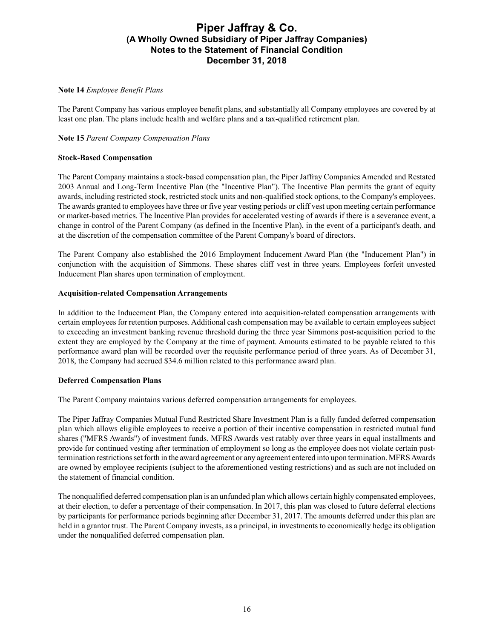#### **Note 14** *Employee Benefit Plans*

The Parent Company has various employee benefit plans, and substantially all Company employees are covered by at least one plan. The plans include health and welfare plans and a tax-qualified retirement plan.

### **Note 15** *Parent Company Compensation Plans*

### **Stock-Based Compensation**

The Parent Company maintains a stock-based compensation plan, the Piper Jaffray Companies Amended and Restated 2003 Annual and Long-Term Incentive Plan (the "Incentive Plan"). The Incentive Plan permits the grant of equity awards, including restricted stock, restricted stock units and non-qualified stock options, to the Company's employees. The awards granted to employees have three or five year vesting periods or cliff vest upon meeting certain performance or market-based metrics. The Incentive Plan provides for accelerated vesting of awards if there is a severance event, a change in control of the Parent Company (as defined in the Incentive Plan), in the event of a participant's death, and at the discretion of the compensation committee of the Parent Company's board of directors.

The Parent Company also established the 2016 Employment Inducement Award Plan (the "Inducement Plan") in conjunction with the acquisition of Simmons. These shares cliff vest in three years. Employees forfeit unvested Inducement Plan shares upon termination of employment.

#### **Acquisition-related Compensation Arrangements**

In addition to the Inducement Plan, the Company entered into acquisition-related compensation arrangements with certain employees for retention purposes. Additional cash compensation may be available to certain employees subject to exceeding an investment banking revenue threshold during the three year Simmons post-acquisition period to the extent they are employed by the Company at the time of payment. Amounts estimated to be payable related to this performance award plan will be recorded over the requisite performance period of three years. As of December 31, 2018, the Company had accrued \$34.6 million related to this performance award plan.

#### **Deferred Compensation Plans**

The Parent Company maintains various deferred compensation arrangements for employees.

The Piper Jaffray Companies Mutual Fund Restricted Share Investment Plan is a fully funded deferred compensation plan which allows eligible employees to receive a portion of their incentive compensation in restricted mutual fund shares ("MFRS Awards") of investment funds. MFRS Awards vest ratably over three years in equal installments and provide for continued vesting after termination of employment so long as the employee does not violate certain posttermination restrictions set forth in the award agreement or any agreement entered into upon termination. MFRS Awards are owned by employee recipients (subject to the aforementioned vesting restrictions) and as such are not included on the statement of financial condition.

The nonqualified deferred compensation plan is an unfunded plan which allows certain highly compensated employees, at their election, to defer a percentage of their compensation. In 2017, this plan was closed to future deferral elections by participants for performance periods beginning after December 31, 2017. The amounts deferred under this plan are held in a grantor trust. The Parent Company invests, as a principal, in investments to economically hedge its obligation under the nonqualified deferred compensation plan.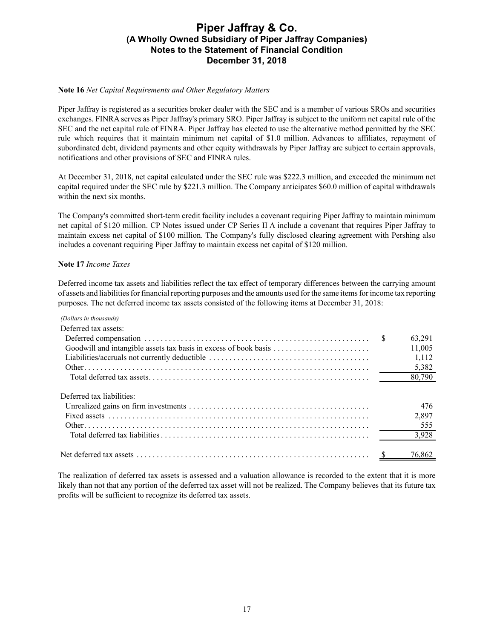#### **Note 16** *Net Capital Requirements and Other Regulatory Matters*

Piper Jaffray is registered as a securities broker dealer with the SEC and is a member of various SROs and securities exchanges. FINRA serves as Piper Jaffray's primary SRO. Piper Jaffray is subject to the uniform net capital rule of the SEC and the net capital rule of FINRA. Piper Jaffray has elected to use the alternative method permitted by the SEC rule which requires that it maintain minimum net capital of \$1.0 million. Advances to affiliates, repayment of subordinated debt, dividend payments and other equity withdrawals by Piper Jaffray are subject to certain approvals, notifications and other provisions of SEC and FINRA rules.

At December 31, 2018, net capital calculated under the SEC rule was \$222.3 million, and exceeded the minimum net capital required under the SEC rule by \$221.3 million. The Company anticipates \$60.0 million of capital withdrawals within the next six months.

The Company's committed short-term credit facility includes a covenant requiring Piper Jaffray to maintain minimum net capital of \$120 million. CP Notes issued under CP Series II A include a covenant that requires Piper Jaffray to maintain excess net capital of \$100 million. The Company's fully disclosed clearing agreement with Pershing also includes a covenant requiring Piper Jaffray to maintain excess net capital of \$120 million.

#### **Note 17** *Income Taxes*

Deferred income tax assets and liabilities reflect the tax effect of temporary differences between the carrying amount of assets and liabilities for financial reporting purposes and the amounts used for the same items for income tax reporting purposes. The net deferred income tax assets consisted of the following items at December 31, 2018:

| (Dollars in thousands)    |        |
|---------------------------|--------|
| Deferred tax assets:      |        |
|                           | 63,291 |
|                           | 11,005 |
|                           | 1,112  |
|                           | 5,382  |
|                           | 80,790 |
| Deferred tax liabilities: |        |
|                           | 476    |
|                           | 2,897  |
|                           | 555    |
|                           | 3,928  |
|                           | 76.862 |

The realization of deferred tax assets is assessed and a valuation allowance is recorded to the extent that it is more likely than not that any portion of the deferred tax asset will not be realized. The Company believes that its future tax profits will be sufficient to recognize its deferred tax assets.